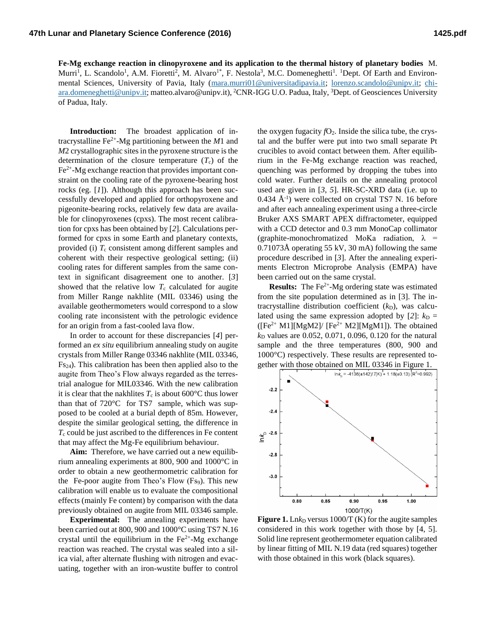**Fe-Mg exchange reaction in clinopyroxene and its application to the thermal history of planetary bodies** M. Murri<sup>1</sup>, L. Scandolo<sup>1</sup>, A.M. Fioretti<sup>2</sup>, M. Alvaro<sup>1\*</sup>, F. Nestola<sup>3</sup>, M.C. Domeneghetti<sup>1</sup>. <sup>1</sup>Dept. Of Earth and Environmental Sciences, University of Pavia, Italy [\(mara.murri01@universitadipavia.it;](mailto:mara.murri01@universitadipavia.it) [lorenzo.scandolo@unipv.it;](mailto:lorenzo.scandolo@unipv.it) [chi](mailto:chiara.domeneghetti@unipv.it)[ara.domeneghetti@unipv.it;](mailto:chiara.domeneghetti@unipv.it) matteo.alvaro@unipv.it), <sup>2</sup>CNR-IGG U.O. Padua, Italy, <sup>3</sup>Dept. of Geosciences University of Padua, Italy.

**Introduction:** The broadest application of intracrystalline  $\text{Fe}^{2+}$ -Mg partitioning between the *M*1 and *M*2 crystallographic sites in the pyroxene structure is the determination of the closure temperature  $(T_c)$  of the  $Fe<sup>2+</sup>$ -Mg exchange reaction that provides important constraint on the cooling rate of the pyroxene-bearing host rocks (eg. [*1*]). Although this approach has been successfully developed and applied for orthopyroxene and pigeonite-bearing rocks, relatively few data are available for clinopyroxenes (cpxs). The most recent calibration for cpxs has been obtained by [*2*]. Calculations performed for cpxs in some Earth and planetary contexts, provided (i)  $T_c$  consistent among different samples and coherent with their respective geological setting; (ii) cooling rates for different samples from the same context in significant disagreement one to another. [*3*] showed that the relative low  $T_c$  calculated for augite from Miller Range nakhlite (MIL 03346) using the available geothermometers would correspond to a slow cooling rate inconsistent with the petrologic evidence for an origin from a fast-cooled lava flow.

In order to account for these discrepancies [*4*] performed an *ex situ* equilibrium annealing study on augite crystals from Miller Range 03346 nakhlite (MIL 03346, Fs24). This calibration has been then applied also to the augite from Theo's Flow always regarded as the terrestrial analogue for MIL03346. With the new calibration it is clear that the nakhlites  $T_c$  is about 600 $\degree$ C thus lower than that of 720°C for TS7 sample, which was supposed to be cooled at a burial depth of 85m. However, despite the similar geological setting, the difference in *T*<sup>c</sup> could be just ascribed to the differences in Fe content that may affect the Mg-Fe equilibrium behaviour.

**Aim:** Therefore, we have carried out a new equilibrium annealing experiments at 800, 900 and 1000°C in order to obtain a new geothermometric calibration for the Fe-poor augite from Theo's Flow (Fs9). This new calibration will enable us to evaluate the compositional effects (mainly Fe content) by comparison with the data previously obtained on augite from MIL 03346 sample.

**Experimental:** The annealing experiments have been carried out at 800, 900 and 1000°C using TS7 N.16 crystal until the equilibrium in the  $Fe<sup>2+</sup>-Mg$  exchange reaction was reached. The crystal was sealed into a silica vial, after alternate flushing with nitrogen and evacuating, together with an iron-wustite buffer to control

the oxygen fugacity  $fO_2$ . Inside the silica tube, the crystal and the buffer were put into two small separate Pt crucibles to avoid contact between them. After equilibrium in the Fe-Mg exchange reaction was reached, quenching was performed by dropping the tubes into cold water. Further details on the annealing protocol used are given in [*3*, *5*]. HR-SC-XRD data (i.e. up to  $0.434 \text{ Å}^{-1}$ ) were collected on crystal TS7 N. 16 before and after each annealing experiment using a three-circle Bruker AXS SMART APEX diffractometer, equipped with a CCD detector and 0.3 mm MonoCap collimator (graphite-monochromatized MoKa radiation,  $\lambda$  = 0.71073Å operating 55 kV, 30 mA) following the same procedure described in [*3*]. After the annealing experiments Electron Microprobe Analysis (EMPA) have been carried out on the same crystal.

**Results:** The  $Fe^{2+}$ -Mg ordering state was estimated from the site population determined as in [3]. The intracrystalline distribution coefficient  $(k_D)$ , was calculated using the same expression adopted by  $[2]$ :  $k_D$  =  $([Fe<sup>2+</sup> M1][MgM2]/ [Fe<sup>2+</sup> M2][MgM1]).$  The obtained *k*<sup>D</sup> values are 0.052, 0.071, 0.096, 0.120 for the natural sample and the three temperatures (800, 900 and 1000°C) respectively. These results are represented together with those obtained on MIL 03346 in Figure 1.



**Figure 1.** Ln $k_D$  versus 1000/T (K) for the augite samples considered in this work together with those by [4, 5]. Solid line represent geothermometer equation calibrated by linear fitting of MIL N.19 data (red squares) together with those obtained in this work (black squares).